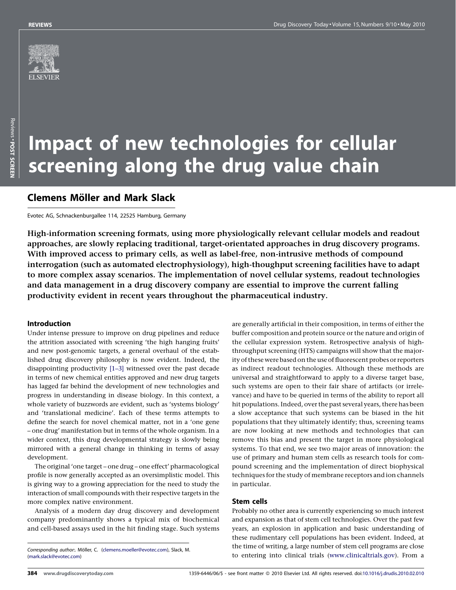

# Impact of new technologies for cellular screening along the drug value chain

## **Clemens Möller and Mark Slack**

Evotec AG, Schnackenburgallee 114, 22525 Hamburg, Germany

High-information screening formats, using more physiologically relevant cellular models and readout approaches, are slowly replacing traditional, target-orientated approaches in drug discovery programs. With improved access to primary cells, as well as label-free, non-intrusive methods of compound interrogation (such as automated electrophysiology), high-thoughput screening facilities have to adapt to more complex assay scenarios. The implementation of novel cellular systems, readout technologies and data management in a drug discovery company are essential to improve the current falling productivity evident in recent years throughout the pharmaceutical industry.

#### Introduction

Under intense pressure to improve on drug pipelines and reduce the attrition associated with screening 'the high hanging fruits' and new post-genomic targets, a general overhaul of the established drug discovery philosophy is now evident. Indeed, the disappointing productivity [\[1–3\]](#page-5-0) witnessed over the past decade in terms of new chemical entities approved and new drug targets has lagged far behind the development of new technologies and progress in understanding in disease biology. In this context, a whole variety of buzzwords are evident, such as 'systems biology' and 'translational medicine'. Each of these terms attempts to define the search for novel chemical matter, not in a 'one gene – one drug' manifestation but in terms of the whole organism. In a wider context, this drug developmental strategy is slowly being mirrored with a general change in thinking in terms of assay development.

The original 'one target – one drug – one effect' pharmacological profile is now generally accepted as an oversimplistic model. This is giving way to a growing appreciation for the need to study the interaction of small compounds with their respective targets in the more complex native environment.

Analysis of a modern day drug discovery and development company predominantly shows a typical mix of biochemical and cell-based assays used in the hit finding stage. Such systems

are generally artificial in their composition, in terms of either the buffer composition and protein source or the nature and origin of the cellular expression system. Retrospective analysis of highthroughput screening (HTS) campaigns will show that the majority of these were based on the use of fluorescent probes or reporters as indirect readout technologies. Although these methods are universal and straightforward to apply to a diverse target base, such systems are open to their fair share of artifacts (or irrelevance) and have to be queried in terms of the ability to report all hit populations. Indeed, over the past several years, there has been a slow acceptance that such systems can be biased in the hit populations that they ultimately identify; thus, screening teams are now looking at new methods and technologies that can remove this bias and present the target in more physiological systems. To that end, we see two major areas of innovation: the use of primary and human stem cells as research tools for compound screening and the implementation of direct biophysical techniques for the study of membrane receptors and ion channels in particular.

#### Stem cells

Probably no other area is currently experiencing so much interest and expansion as that of stem cell technologies. Over the past few years, an explosion in application and basic understanding of these rudimentary cell populations has been evident. Indeed, at the time of writing, a large number of stem cell programs are close to entering into clinical trials ([www.clinicaltrials.gov](http://www.clinicaltrials.gov/)). From a

Corresponding author:. Möller, C. [\(clemens.moeller@evotec.com](mailto:clemens.moeller@evotec.com)), Slack, M. ([mark.slack@evotec.com\)](mailto:mark.slack@evotec.com)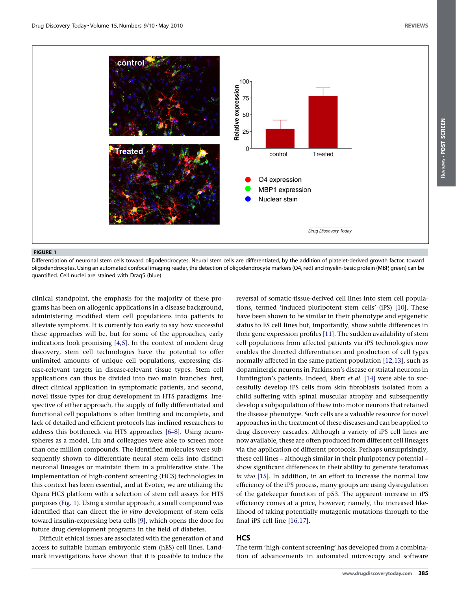

FIGURE 1

Differentiation of neuronal stem cells toward oligodendrocytes. Neural stem cells are differentiated, by the addition of platelet-derived growth factor, toward oligodendrocytes. Using an automated confocal imaging reader, the detection of oligodendrocyte markers (O4, red) and myelin-basic protein (MBP, green) can be quantified. Cell nuclei are stained with Draq5 (blue).

clinical standpoint, the emphasis for the majority of these programs has been on allogenic applications in a disease background, administering modified stem cell populations into patients to alleviate symptoms. It is currently too early to say how successful these approaches will be, but for some of the approaches, early indications look promising [\[4,5\]](#page-5-0). In the context of modern drug discovery, stem cell technologies have the potential to offer unlimited amounts of unique cell populations, expressing disease-relevant targets in disease-relevant tissue types. Stem cell applications can thus be divided into two main branches: first, direct clinical application in symptomatic patients, and second, novel tissue types for drug development in HTS paradigms. Irrespective of either approach, the supply of fully differentiated and functional cell populations is often limiting and incomplete, and lack of detailed and efficient protocols has inclined researchers to address this bottleneck via HTS approaches [\[6–8\].](#page-5-0) Using neurospheres as a model, Liu and colleagues were able to screen more than one million compounds. The identified molecules were subsequently shown to differentiate neural stem cells into distinct neuronal lineages or maintain them in a proliferative state. The implementation of high-content screening (HCS) technologies in this context has been essential, and at Evotec, we are utilizing the Opera HCS platform with a selection of stem cell assays for HTS purposes (Fig. 1). Using a similar approach, a small compound was identified that can direct the in vitro development of stem cells toward insulin-expressing beta cells [\[9\],](#page-5-0) which opens the door for future drug development programs in the field of diabetes.

Difficult ethical issues are associated with the generation of and access to suitable human embryonic stem (hES) cell lines. Landmark investigations have shown that it is possible to induce the

reversal of somatic-tissue-derived cell lines into stem cell populations, termed 'induced pluripotent stem cells' (iPS) [\[10\]](#page-5-0). These have been shown to be similar in their phenotype and epigenetic status to ES cell lines but, importantly, show subtle differences in their gene expression profiles [\[11\]](#page-5-0). The sudden availability of stem cell populations from affected patients via iPS technologies now enables the directed differentiation and production of cell types normally affected in the same patient population [\[12,13\]](#page-5-0), such as dopaminergic neurons in Parkinson's disease or striatal neurons in Huntington's patients. Indeed, Ebert et al. [\[14\]](#page-5-0) were able to successfully develop iPS cells from skin fibroblasts isolated from a child suffering with spinal muscular atrophy and subsequently develop a subpopulation of these into motor neurons that retained the disease phenotype. Such cells are a valuable resource for novel approaches in the treatment of these diseases and can be applied to drug discovery cascades. Although a variety of iPS cell lines are now available, these are often produced from different cell lineages via the application of different protocols. Perhaps unsurprisingly, these cell lines – although similar in their pluripotency potential – show significant differences in their ability to generate teratomas in vivo [\[15\]](#page-5-0). In addition, in an effort to increase the normal low efficiency of the iPS process, many groups are using dysregulation of the gatekeeper function of p53. The apparent increase in iPS efficiency comes at a price, however; namely, the increased likelihood of taking potentially mutagenic mutations through to the final iPS cell line [\[16,17\].](#page-5-0)

### **HCS**

The term 'high-content screening' has developed from a combination of advancements in automated microscopy and software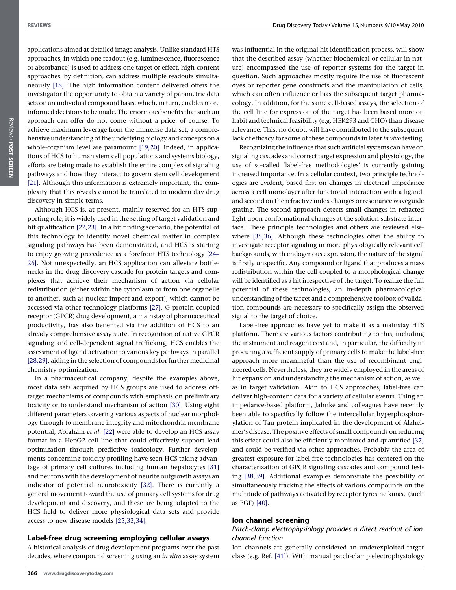applications aimed at detailed image analysis. Unlike standard HTS approaches, in which one readout (e.g. luminescence, fluorescence or absorbance) is used to address one target or effect, high-content approaches, by definition, can address multiple readouts simultaneously [\[18\]](#page-5-0). The high information content delivered offers the investigator the opportunity to obtain a variety of parametric data sets on an individual compound basis, which, in turn, enables more informed decisions to be made. The enormous benefits that such an approach can offer do not come without a price, of course. To achieve maximum leverage from the immense data set, a comprehensive understanding of the underlying biology and concepts on a whole-organism level are paramount [\[19,20\].](#page-5-0) Indeed, in applications of HCS to human stem cell populations and systems biology, efforts are being made to establish the entire complex of signaling pathways and how they interact to govern stem cell development [\[21\].](#page-5-0) Although this information is extremely important, the complexity that this reveals cannot be translated to modern day drug discovery in simple terms.

Although HCS is, at present, mainly reserved for an HTS supporting role, it is widely used in the setting of target validation and hit qualification [\[22,23\]](#page-5-0). In a hit finding scenario, the potential of this technology to identify novel chemical matter in complex signaling pathways has been demonstrated, and HCS is starting to enjoy growing precedence as a forefront HTS technology [\[24–](#page-5-0) [26\]](#page-5-0). Not unexpectedly, an HCS application can alleviate bottlenecks in the drug discovery cascade for protein targets and complexes that achieve their mechanism of action via cellular redistribution (either within the cytoplasm or from one organelle to another, such as nuclear import and export), which cannot be accessed via other technology platforms [\[27\]](#page-5-0). G-protein-coupled receptor (GPCR) drug development, a mainstay of pharmaceutical productivity, has also benefited via the addition of HCS to an already comprehensive assay suite. In recognition of native GPCR signaling and cell-dependent signal trafficking, HCS enables the assessment of ligand activation to various key pathways in parallel [\[28,29\]](#page-5-0), aiding in the selection of compounds for further medicinal chemistry optimization.

In a pharmaceutical company, despite the examples above, most data sets acquired by HCS groups are used to address offtarget mechanisms of compounds with emphasis on preliminary toxicity or to understand mechanism of action [\[30\]](#page-5-0). Using eight different parameters covering various aspects of nuclear morphology through to membrane integrity and mitochondria membrane potential, Abraham et al. [\[22\]](#page-5-0) were able to develop an HCS assay format in a HepG2 cell line that could effectively support lead optimization through predictive toxicology. Further developments concerning toxicity profiling have seen HCS taking advantage of primary cell cultures including human hepatocytes [\[31\]](#page-5-0) and neurons with the development of neurite outgrowth assays an indicator of potential neurotoxicity [\[32\]](#page-5-0). There is currently a general movement toward the use of primary cell systems for drug development and discovery, and these are being adapted to the HCS field to deliver more physiological data sets and provide access to new disease models [\[25,33,34\]](#page-5-0).

#### Label-free drug screening employing cellular assays

A historical analysis of drug development programs over the past decades, where compound screening using an in vitro assay system

was influential in the original hit identification process, will show that the described assay (whether biochemical or cellular in nature) encompassed the use of reporter systems for the target in question. Such approaches mostly require the use of fluorescent dyes or reporter gene constructs and the manipulation of cells, which can often influence or bias the subsequent target pharmacology. In addition, for the same cell-based assays, the selection of the cell line for expression of the target has been based more on habit and technical feasibility (e.g. HEK293 and CHO) than disease relevance. This, no doubt, will have contributed to the subsequent lack of efficacy for some of these compounds in later in vivo testing.

Recognizing the influence that such artificial systemscan have on signaling cascades and correct target expression and physiology, the use of so-called 'label-free methodologies' is currently gaining increased importance. In a cellular context, two principle technologies are evident, based first on changes in electrical impedance across a cell monolayer after functional interaction with a ligand, and second on the refractive index changes or resonance waveguide grating. The second approach detects small changes in refracted light upon conformational changes at the solution substrate interface. These principle technologies and others are reviewed elsewhere [\[35,36\].](#page-6-0) Although these technologies offer the ability to investigate receptor signaling in more physiologically relevant cell backgrounds, with endogenous expression, the nature of the signal is firstly unspecific. Any compound or ligand that produces a mass redistribution within the cell coupled to a morphological change will be identified as a hit irrespective of the target. To realize the full potential of these technologies, an in-depth pharmacological understanding of the target and a comprehensive toolbox of validation compounds are necessary to specifically assign the observed signal to the target of choice.

Label-free approaches have yet to make it as a mainstay HTS platform. There are various factors contributing to this, including the instrument and reagent cost and, in particular, the difficulty in procuring a sufficient supply of primary cells to make the label-free approach more meaningful than the use of recombinant engineered cells. Nevertheless, they are widely employed in the areas of hit expansion and understanding the mechanism of action, as well as in target validation. Akin to HCS approaches, label-free can deliver high-content data for a variety of cellular events. Using an impedance-based platform, Jahnke and colleagues have recently been able to specifically follow the intercellular hyperphosphorylation of Tau protein implicated in the development of Alzheimer's disease. The positive effects of small compounds on reducing this effect could also be efficiently monitored and quantified [\[37\]](#page-6-0) and could be verified via other approaches. Probably the area of greatest exposure for label-free technologies has centered on the characterization of GPCR signaling cascades and compound testing [\[38,39\].](#page-6-0) Additional examples demonstrate the possibility of simultaneously tracking the effects of various compounds on the multitude of pathways activated by receptor tyrosine kinase (such as EGF) [\[40\].](#page-6-0)

#### Ion channel screening

## Patch-clamp electrophysiology provides a direct readout of ion channel function

Ion channels are generally considered an underexploited target class (e.g. Ref. [\[41\]](#page-6-0)). With manual patch-clamp electrophysiology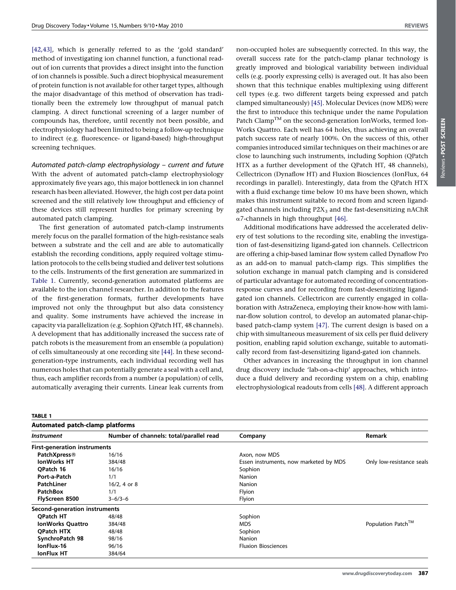[\[42,43\]](#page-6-0), which is generally referred to as the 'gold standard' method of investigating ion channel function, a functional readout of ion currents that provides a direct insight into the function of ion channels is possible. Such a direct biophysical measurement of protein function is not available for other target types, although the major disadvantage of this method of observation has traditionally been the extremely low throughput of manual patch clamping. A direct functional screening of a larger number of compounds has, therefore, until recently not been possible, and electrophysiology had been limited to being a follow-up technique to indirect (e.g. fluorescence- or ligand-based) high-throughput screening techniques.

Automated patch-clamp electrophysiology – current and future With the advent of automated patch-clamp electrophysiology approximately five years ago, this major bottleneck in ion channel research has been alleviated. However, the high cost per data point screened and the still relatively low throughput and efficiency of these devices still represent hurdles for primary screening by automated patch clamping.

The first generation of automated patch-clamp instruments merely focus on the parallel formation of the high-resistance seals between a substrate and the cell and are able to automatically establish the recording conditions, apply required voltage stimulation protocols to the cells being studied and deliver test solutions to the cells. Instruments of the first generation are summarized in Table 1. Currently, second-generation automated platforms are available to the ion channel researcher. In addition to the features of the first-generation formats, further developments have improved not only the throughput but also data consistency and quality. Some instruments have achieved the increase in capacity via parallelization (e.g. Sophion QPatch HT, 48 channels). A development that has additionally increased the success rate of patch robots is the measurement from an ensemble (a population) of cells simultaneously at one recording site [\[44\].](#page-6-0) In these secondgeneration-type instruments, each individual recording well has numerous holes that can potentially generate a seal with a cell and, thus, each amplifier records from a number (a population) of cells, automatically averaging their currents. Linear leak currents from

TABLE 1

non-occupied holes are subsequently corrected. In this way, the overall success rate for the patch-clamp planar technology is greatly improved and biological variability between individual cells (e.g. poorly expressing cells) is averaged out. It has also been shown that this technique enables multiplexing using different cell types (e.g. two different targets being expressed and patch clamped simultaneously) [\[45\]](#page-6-0). Molecular Devices (now MDS) were the first to introduce this technique under the name Population Patch Clamp<sup>TM</sup> on the second-generation IonWorks, termed Ion-Works Quattro. Each well has 64 holes, thus achieving an overall patch success rate of nearly 100%. On the success of this, other companies introduced similar techniques on their machines or are close to launching such instruments, including Sophion (QPatch HTX as a further development of the QPatch HT, 48 channels), Cellectricon (Dynaflow HT) and Fluxion Biosciences (IonFlux, 64 recordings in parallel). Interestingly, data from the QPatch HTX with a fluid exchange time below 10 ms have been shown, which makes this instrument suitable to record from and screen ligandgated channels including  $P2X_3$  and the fast-desensitizing nAChR  $\alpha$ 7-channels in high throughput [\[46\].](#page-6-0)

Additional modifications have addressed the accelerated delivery of test solutions to the recording site, enabling the investigation of fast-desensitizing ligand-gated ion channels. Cellectricon are offering a chip-based laminar flow system called Dynaflow Pro as an add-on to manual patch-clamp rigs. This simplifies the solution exchange in manual patch clamping and is considered of particular advantage for automated recording of concentrationresponse curves and for recording from fast-desensitizing ligandgated ion channels. Cellectricon are currently engaged in collaboration with AstraZeneca, employing their know-how with laminar-flow solution control, to develop an automated planar-chipbased patch-clamp system [\[47\]](#page-6-0). The current design is based on a chip with simultaneous measurement of six cells per fluid delivery position, enabling rapid solution exchange, suitable to automatically record from fast-desensitizing ligand-gated ion channels.

Other advances in increasing the throughput in ion channel drug discovery include 'lab-on-a-chip' approaches, which introduce a fluid delivery and recording system on a chip, enabling electrophysiological readouts from cells [\[48\]](#page-6-0). A different approach

| <br>Automated patch-clamp platforms |                                         |                                        |                           |
|-------------------------------------|-----------------------------------------|----------------------------------------|---------------------------|
| <b>Instrument</b>                   | Number of channels: total/parallel read | Company                                | <b>Remark</b>             |
| <b>First-generation instruments</b> |                                         |                                        |                           |
| <b>PatchXpress®</b>                 | 16/16                                   | Axon, now MDS                          |                           |
| <b>IonWorks HT</b>                  | 384/48                                  | Essen instruments, now marketed by MDS | Only low-resistance seals |
| OPatch 16                           | 16/16                                   | Sophion                                |                           |
| Port-a-Patch                        | 1/1                                     | <b>Nanion</b>                          |                           |
| <b>PatchLiner</b>                   | $16/2, 4$ or 8                          | Nanion                                 |                           |
| PatchBox                            | 1/1                                     | Flyion                                 |                           |
| FlyScreen 8500                      | $3 - 6/3 - 6$                           | Flyion                                 |                           |
| Second-generation instruments       |                                         |                                        |                           |
| <b>OPatch HT</b>                    | 48/48                                   | Sophion                                |                           |
| <b>IonWorks Quattro</b>             | 384/48                                  | <b>MDS</b>                             | Population Patch™         |
| <b>QPatch HTX</b>                   | 48/48                                   | Sophion                                |                           |
| SynchroPatch 98                     | 98/16                                   | Nanion                                 |                           |
| lonFlux-16                          | 96/16                                   | <b>Fluxion Biosciences</b>             |                           |
| <b>IonFlux HT</b>                   | 384/64                                  |                                        |                           |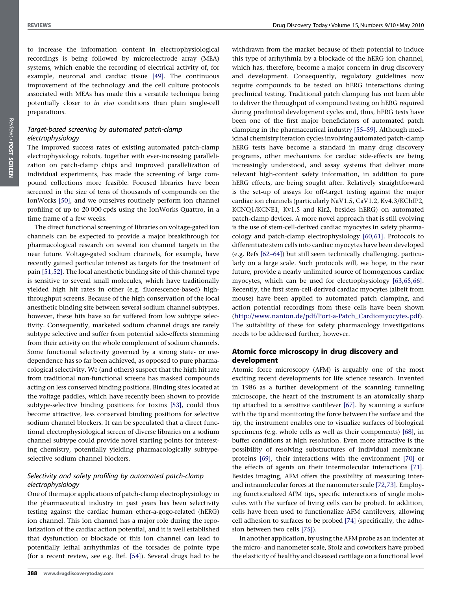to increase the information content in electrophysiological recordings is being followed by microelectrode array (MEA) systems, which enable the recording of electrical activity of, for example, neuronal and cardiac tissue [\[49\].](#page-6-0) The continuous improvement of the technology and the cell culture protocols associated with MEAs has made this a versatile technique being potentially closer to in vivo conditions than plain single-cell preparations.

### Target-based screening by automated patch-clamp electrophysiology

The improved success rates of existing automated patch-clamp electrophysiology robots, together with ever-increasing parallelization on patch-clamp chips and improved parallelization of individual experiments, has made the screening of large compound collections more feasible. Focused libraries have been screened in the size of tens of thousands of compounds on the IonWorks [\[50\]](#page-6-0), and we ourselves routinely perform ion channel profiling of up to 20 000 cpds using the IonWorks Quattro, in a time frame of a few weeks.

The direct functional screening of libraries on voltage-gated ion channels can be expected to provide a major breakthrough for pharmacological research on several ion channel targets in the near future. Voltage-gated sodium channels, for example, have recently gained particular interest as targets for the treatment of pain [\[51,52\].](#page-6-0) The local anesthetic binding site of this channel type is sensitive to several small molecules, which have traditionally yielded high hit rates in other (e.g. fluorescence-based) highthroughput screens. Because of the high conservation of the local anesthetic binding site between several sodium channel subtypes, however, these hits have so far suffered from low subtype selectivity. Consequently, marketed sodium channel drugs are rarely subtype selective and suffer from potential side-effects stemming from their activity on the whole complement of sodium channels. Some functional selectivity governed by a strong state- or usedependence has so far been achieved, as opposed to pure pharmacological selectivity. We (and others) suspect that the high hit rate from traditional non-functional screens has masked compounds acting on less conserved binding positions. Binding sites located at the voltage paddles, which have recently been shown to provide subtype-selective binding positions for toxins [\[53\]](#page-6-0), could thus become attractive, less conserved binding positions for selective sodium channel blockers. It can be speculated that a direct functional electrophysiological screen of diverse libraries on a sodium channel subtype could provide novel starting points for interesting chemistry, potentially yielding pharmacologically subtypeselective sodium channel blockers.

## Selectivity and safety profiling by automated patch-clamp electrophysiology

One of the major applications of patch-clamp electrophysiology in the pharmaceutical industry in past years has been selectivity testing against the cardiac human ether-a-gogo-related (hERG) ion channel. This ion channel has a major role during the repolarization of the cardiac action potential, and it is well established that dysfunction or blockade of this ion channel can lead to potentially lethal arrhythmias of the torsades de pointe type (for a recent review, see e.g. Ref. [\[54\]\)](#page-6-0). Several drugs had to be withdrawn from the market because of their potential to induce this type of arrhythmia by a blockade of the hERG ion channel, which has, therefore, become a major concern in drug discovery and development. Consequently, regulatory guidelines now require compounds to be tested on hERG interactions during preclinical testing. Traditional patch clamping has not been able to deliver the throughput of compound testing on hERG required during preclinical development cycles and, thus, hERG tests have been one of the first major beneficiators of automated patch clamping in the pharmaceutical industry [\[55–59\].](#page-6-0) Although medicinal chemistry iteration cycles involving automated patch-clamp hERG tests have become a standard in many drug discovery programs, other mechanisms for cardiac side-effects are being increasingly understood, and assay systems that deliver more relevant high-content safety information, in addition to pure hERG effects, are being sought after. Relatively straightforward is the set-up of assays for off-target testing against the major cardiac ion channels (particularly NaV1.5, CaV1.2, Kv4.3/KChIP2, KCNQ1/KCNE1, Kv1.5 and Kir2, besides hERG) on automated patch-clamp devices. A more novel approach that is still evolving is the use of stem-cell-derived cardiac myocytes in safety pharmacology and patch-clamp electrophysiology [\[60,61\].](#page-6-0) Protocols to differentiate stem cells into cardiac myocytes have been developed (e.g. Refs [\[62–64\]](#page-6-0)) but still seem technically challenging, particularly on a large scale. Such protocols will, we hope, in the near future, provide a nearly unlimited source of homogenous cardiac myocytes, which can be used for electrophysiology [\[63,65,66\]](#page-6-0). Recently, the first stem-cell-derived cardiac myocytes (albeit from mouse) have been applied to automated patch clamping, and action potential recordings from these cells have been shown ([http://www.nanion.de/pdf/Port-a-Patch\\_Cardiomyocytes.pdf](http://www.nanion.de/pdf/Port-a-Patch_Cardiomyocytes.pdf)). The suitability of these for safety pharmacology investigations needs to be addressed further, however.

## Atomic force microscopy in drug discovery and development

Atomic force microscopy (AFM) is arguably one of the most exciting recent developments for life science research. Invented in 1986 as a further development of the scanning tunneling microscope, the heart of the instrument is an atomically sharp tip attached to a sensitive cantilever [\[67\].](#page-6-0) By scanning a surface with the tip and monitoring the force between the surface and the tip, the instrument enables one to visualize surfaces of biological specimens (e.g. whole cells as well as their components) [\[68\]](#page-6-0), in buffer conditions at high resolution. Even more attractive is the possibility of resolving substructures of individual membrane proteins [\[69\],](#page-6-0) their interactions with the environment [\[70\]](#page-6-0) or the effects of agents on their intermolecular interactions [\[71\]](#page-6-0). Besides imaging, AFM offers the possibility of measuring interand intramolecular forces at the nanometer scale [\[72,73\]](#page-6-0). Employing functionalized AFM tips, specific interactions of single molecules with the surface of living cells can be probed. In addition, cells have been used to functionalize AFM cantilevers, allowing cell adhesion to surfaces to be probed [\[74\]](#page-6-0) (specifically, the adhesion between two cells [\[75\]](#page-6-0)).

In another application, by using the AFM probe as an indenter at the micro- and nanometer scale, Stolz and coworkers have probed the elasticity of healthy and diseased cartilage on a functional level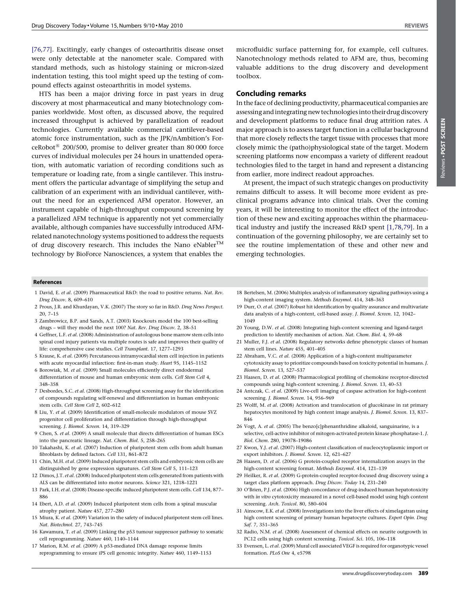<span id="page-5-0"></span>[\[76,77\]](#page-6-0). Excitingly, early changes of osteoarthritis disease onset were only detectable at the nanometer scale. Compared with standard methods, such as histology staining or micron-sized indentation testing, this tool might speed up the testing of compound effects against osteoarthritis in model systems.

HTS has been a major driving force in past years in drug discovery at most pharmaceutical and many biotechnology companies worldwide. Most often, as discussed above, the required increased throughput is achieved by parallelization of readout technologies. Currently available commercial cantilever-based atomic force instrumentation, such as the JPK/nAmbition's For $ceRobot^{\textcircled{R}}$  200/500, promise to deliver greater than 80 000 force curves of individual molecules per 24 hours in unattended operation, with automatic variation of recording conditions such as temperature or loading rate, from a single cantilever. This instrument offers the particular advantage of simplifying the setup and calibration of an experiment with an individual cantilever, without the need for an experienced AFM operator. However, an instrument capable of high-throughput compound screening by a parallelized AFM technique is apparently not yet commercially available, although companies have successfully introduced AFMrelated nanotechnology systems positioned to address the requests of drug discovery research. This includes the Nano eNabler<sup>TM</sup> technology by BioForce Nanosciences, a system that enables the

microfluidic surface patterning for, for example, cell cultures. Nanotechnology methods related to AFM are, thus, becoming valuable additions to the drug discovery and development toolbox.

#### Concluding remarks

In the face of declining productivity, pharmaceutical companies are assessing and integrating new technologies into their drug discovery and development platforms to reduce final drug attrition rates. A major approach is to assess target function in a cellular background that more closely reflects the target tissue with processes that more closely mimic the (patho)physiological state of the target. Modern screening platforms now encompass a variety of different readout technologies filed to the target in hand and represent a distancing from earlier, more indirect readout approaches.

At present, the impact of such strategic changes on productivity remains difficult to assess. It will become more evident as preclinical programs advance into clinical trials. Over the coming years, it will be interesting to monitor the effect of the introduction of these new and exciting approaches within the pharmaceutical industry and justify the increased R&D spent [1,78,79]. In a continuation of the governing philosophy, we are certainly set to see the routine implementation of these and other new and emerging technologies.

#### References

- 1 David, E. et al. (2009) Pharmaceutical R&D: the road to positive returns. Nat. Rev. Drug Discov. 8, 609–610
- 2 Prous, J.R. and Khurdayan, V.K. (2007) The story so far in R&D. Drug News Perspect. 20, 7–15
- 3 Zambrowicz, B.P. and Sands, A.T. (2003) Knockouts model the 100 best-selling drugs – will they model the next 100? Nat. Rev. Drug Discov. 2, 38–51
- 4 Geffner, L.F. et al. (2008) Administration of autologous bone marrow stem cells into spinal cord injury patients via multiple routes is safe and improves their quality of life: comprehensive case studies. Cell Transplant. 17, 1277–1293
- 5 Krause, K. et al. (2009) Percutaneous intramyocardial stem cell injection in patients with acute myocardial infarction: first-in-man study. Heart 95, 1145–1152
- 6 Borowiak, M. et al. (2009) Small molecules efficiently direct endodermal differentiation of mouse and human embryonic stem cells. Cell Stem Cell 4, 348–358
- 7 Desbordes, S.C. et al. (2008) High-throughput screening assay for the identification of compounds regulating self-renewal and differentiation in human embryonic stem cells. Cell Stem Cell 2, 602–612
- 8 Liu, Y. et al. (2009) Identification of small-molecule modulators of mouse SVZ progenitor cell proliferation and differentiation through high-throughput screening. J. Biomol. Screen. 14, 319–329
- 9 Chen, S. et al. (2009) A small molecule that directs differentiation of human ESCs into the pancreatic lineage. Nat. Chem. Biol. 5, 258–265
- 10 Takahashi, K. et al. (2007) Induction of pluripotent stem cells from adult human fibroblasts by defined factors. Cell 131, 861–872
- 11 Chin, M.H. et al. (2009) Induced pluripotent stem cells and embryonic stem cells are distinguished by gene expression signatures. Cell Stem Cell 5, 111–123
- 12 Dimos, J.T. et al. (2008) Induced pluripotent stem cells generated from patients with ALS can be differentiated into motor neurons. Science 321, 1218–1221
- 13 Park, I.H. et al. (2008) Disease-specific induced pluripotent stem cells. Cell 134, 877– 886
- 14 Ebert, A.D. et al. (2009) Induced pluripotent stem cells from a spinal muscular atrophy patient. Nature 457, 277–280
- 15 Miura, K. et al. (2009) Variation in the safety of induced pluripotent stem cell lines. Nat. Biotechnol. 27, 743–745
- 16 Kawamura, T. et al. (2009) Linking the p53 tumour suppressor pathway to somatic cell reprogramming. Nature 460, 1140–1144
- 17 Marion, R.M. et al. (2009) A p53-mediated DNA damage response limits reprogramming to ensure iPS cell genomic integrity. Nature 460, 1149–1153
- 18 Bertelsen, M. (2006) Multiplex analysis of inflammatory signaling pathways using a high-content imaging system. Methods Enzymol. 414, 348–363
- 19 Durr, O. et al. (2007) Robust hit identification by quality assurance and multivariate data analysis of a high-content, cell-based assay. J. Biomol. Screen. 12, 1042– 1049
- 20 Young, D.W. et al. (2008) Integrating high-content screening and ligand-target prediction to identify mechanism of action. Nat. Chem. Biol. 4, 59–68
- 21 Muller, F.J. et al. (2008) Regulatory networks define phenotypic classes of human stem cell lines. Nature 455, 401–405
- 22 Abraham, V.C. et al. (2008) Application of a high-content multiparameter cytotoxicity assay to prioritize compounds based on toxicity potential in humans. J. Biomol. Screen. 13, 527–537
- 23 Haasen, D. et al. (2008) Pharmacological profiling of chemokine receptor-directed compounds using high-content screening. J. Biomol. Screen. 13, 40–53
- 24 Antczak, C. et al. (2009) Live-cell imaging of caspase activation for high-content screening. J. Biomol. Screen. 14, 956–969
- 25 Wolff, M. et al. (2008) Activation and translocation of glucokinase in rat primary hepatocytes monitored by high content image analysis. J. Biomol. Screen. 13, 837– 846
- 26 Vogt, A. et al. (2005) The benzo[c]phenanthridine alkaloid, sanguinarine, is a selective, cell-active inhibitor of mitogen-activated protein kinase phosphatase-1. J. Biol. Chem. 280, 19078–19086
- 27 Kwon, Y.J. et al. (2007) High-content classification of nucleocytoplasmic import or export inhibitors. J. Biomol. Screen. 12, 621–627
- 28 Haasen, D. et al. (2006) G protein-coupled receptor internalization assays in the high-content screening format. Methods Enzymol. 414, 121–139
- 29 Heilker, R. et al. (2009) G-protein-coupled receptor-focused drug discovery using a target class platform approach. Drug Discov. Today 14, 231–240
- 30 O'Brien, P.J. et al. (2006) High concordance of drug-induced human hepatotoxicity with in vitro cytotoxicity measured in a novel cell-based model using high content screening. Arch. Toxicol. 80, 580–604
- 31 Ainscow, E.K. et al. (2008) Investigations into the liver effects of ximelagatran using high content screening of primary human hepatocyte cultures. Expert Opin. Drug Saf. 7, 351–365
- 32 Radio, N.M. et al. (2008) Assessment of chemical effects on neurite outgrowth in PC12 cells using high content screening. Toxicol. Sci. 105, 106-118
- 33 Evensen, L. et al. (2009) Mural cell associated VEGF is required for organotypic vessel formation. PLoS One 4, e5798